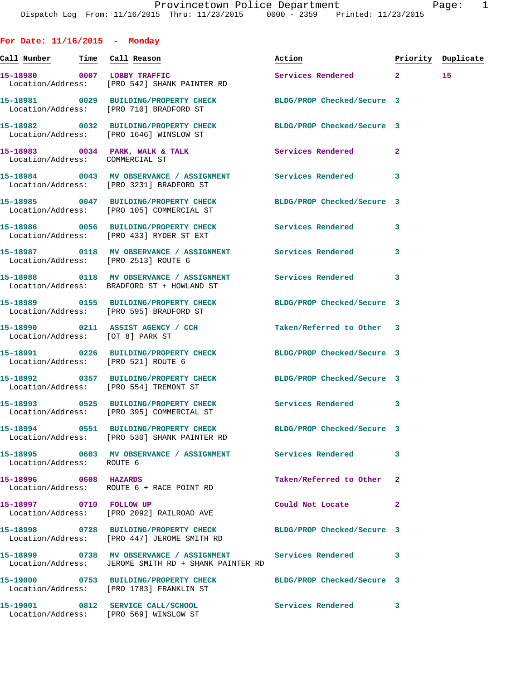**For Date: 11/16/2015 - Monday Call Number Time Call Reason Action Priority Duplicate 15-18980 0007 LOBBY TRAFFIC Services Rendered 2 15**  Location/Address: [PRO 542] SHANK PAINTER RD **15-18981 0029 BUILDING/PROPERTY CHECK BLDG/PROP Checked/Secure 3**  Location/Address: [PRO 710] BRADFORD ST **15-18982 0032 BUILDING/PROPERTY CHECK BLDG/PROP Checked/Secure 3**  Location/Address: [PRO 1646] WINSLOW ST **15-18983 0034 PARK, WALK & TALK Services Rendered 2**  Location/Address: COMMERCIAL ST **15-18984 0043 MV OBSERVANCE / ASSIGNMENT Services Rendered 3**  Location/Address: [PRO 3231] BRADFORD ST **15-18985 0047 BUILDING/PROPERTY CHECK BLDG/PROP Checked/Secure 3**  Location/Address: [PRO 105] COMMERCIAL ST **15-18986 0056 BUILDING/PROPERTY CHECK Services Rendered 3**  Location/Address: [PRO 433] RYDER ST EXT **15-18987 0118 MV OBSERVANCE / ASSIGNMENT Services Rendered 3**  Location/Address: [PRO 2513] ROUTE 6 **15-18988 0118 MV OBSERVANCE / ASSIGNMENT Services Rendered 3**  Location/Address: BRADFORD ST + HOWLAND ST **15-18989 0155 BUILDING/PROPERTY CHECK BLDG/PROP Checked/Secure 3**  Location/Address: [PRO 595] BRADFORD ST **15-18990 0211 ASSIST AGENCY / CCH Taken/Referred to Other 3**  Location/Address: [OT 8] PARK ST **15-18991 0226 BUILDING/PROPERTY CHECK BLDG/PROP Checked/Secure 3**  Location/Address: [PRO 521] ROUTE 6 **15-18992 0357 BUILDING/PROPERTY CHECK BLDG/PROP Checked/Secure 3**  Location/Address: [PRO 554] TREMONT ST **15-18993 0525 BUILDING/PROPERTY CHECK Services Rendered 3**  Location/Address: [PRO 395] COMMERCIAL ST **15-18994 0551 BUILDING/PROPERTY CHECK BLDG/PROP Checked/Secure 3**  Location/Address: [PRO 530] SHANK PAINTER RD **15-18995 0603 MV OBSERVANCE / ASSIGNMENT Services Rendered 3**  Location/Address: ROUTE 6 **15-18996 0608 HAZARDS Taken/Referred to Other 2**  Location/Address: ROUTE 6 + RACE POINT RD **15-18997 0710 FOLLOW UP Could Not Locate 2**  Location/Address: [PRO 2092] RAILROAD AVE **15-18998 0728 BUILDING/PROPERTY CHECK BLDG/PROP Checked/Secure 3**  Location/Address: [PRO 447] JEROME SMITH RD **15-18999 0738 MV OBSERVANCE / ASSIGNMENT Services Rendered 3**  Location/Address: JEROME SMITH RD + SHANK PAINTER RD **15-19000 0753 BUILDING/PROPERTY CHECK BLDG/PROP Checked/Secure 3**  Location/Address: [PRO 1783] FRANKLIN ST

**15-19001 0812 SERVICE CALL/SCHOOL Services Rendered 3**  Location/Address: [PRO 569] WINSLOW ST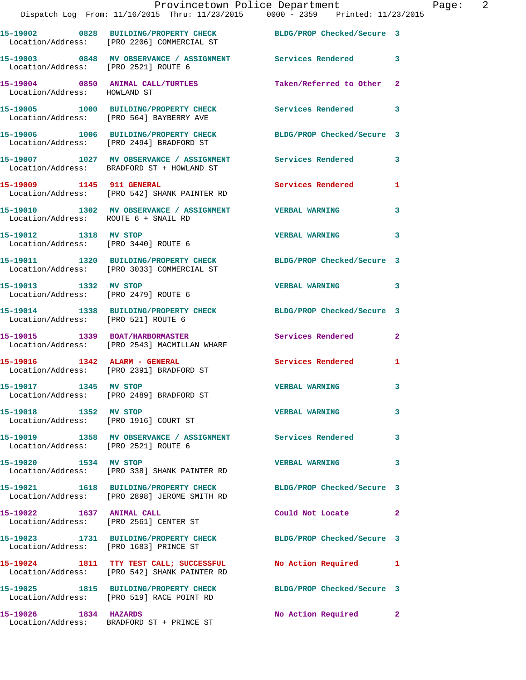|                                                               | Provincetown Police Department<br>Dispatch Log From: 11/16/2015 Thru: 11/23/2015 0000 - 2359 Printed: 11/23/2015 |                            |                |
|---------------------------------------------------------------|------------------------------------------------------------------------------------------------------------------|----------------------------|----------------|
|                                                               | 15-19002 0828 BUILDING/PROPERTY CHECK BLDG/PROP Checked/Secure 3<br>Location/Address: [PRO 2206] COMMERCIAL ST   |                            |                |
|                                                               |                                                                                                                  |                            | 3              |
| Location/Address: HOWLAND ST                                  | 15-19004 0850 ANIMAL CALL/TURTLES Taken/Referred to Other                                                        |                            | $\mathbf{2}$   |
|                                                               | 15-19005 1000 BUILDING/PROPERTY CHECK Services Rendered<br>Location/Address: [PRO 564] BAYBERRY AVE              |                            | 3              |
|                                                               | 15-19006 1006 BUILDING/PROPERTY CHECK BLDG/PROP Checked/Secure 3<br>Location/Address: [PRO 2494] BRADFORD ST     |                            |                |
|                                                               | 15-19007 1027 MV OBSERVANCE / ASSIGNMENT Services Rendered<br>Location/Address: BRADFORD ST + HOWLAND ST         |                            | 3              |
|                                                               | 15-19009 1145 911 GENERAL<br>Location/Address: [PRO 542] SHANK PAINTER RD                                        | Services Rendered          | 1              |
| Location/Address: ROUTE 6 + SNAIL RD                          | 15-19010 1302 MV OBSERVANCE / ASSIGNMENT VERBAL WARNING                                                          |                            | 3              |
| 15-19012 1318 MV STOP<br>Location/Address: [PRO 3440] ROUTE 6 |                                                                                                                  | <b>VERBAL WARNING</b>      | 3              |
|                                                               | 15-19011 1320 BUILDING/PROPERTY CHECK BLDG/PROP Checked/Secure 3<br>Location/Address: [PRO 3033] COMMERCIAL ST   |                            |                |
| 15-19013 1332 MV STOP<br>Location/Address: [PRO 2479] ROUTE 6 |                                                                                                                  | <b>VERBAL WARNING</b>      | 3              |
| Location/Address: [PRO 521] ROUTE 6                           | 15-19014 1338 BUILDING/PROPERTY CHECK BLDG/PROP Checked/Secure 3                                                 |                            |                |
|                                                               | 15-19015 1339 BOAT/HARBORMASTER<br>Location/Address: [PRO 2543] MACMILLAN WHARF                                  | <b>Services Rendered</b>   | $\overline{a}$ |
|                                                               | Location/Address: [PRO 2391] BRADFORD ST                                                                         | <b>Services Rendered</b>   | 1              |
| 15-19017 1345 MV STOP                                         | Location/Address: [PRO 2489] BRADFORD ST                                                                         | <b>VERBAL WARNING</b>      | 3              |
| 15-19018 1352 MV STOP                                         | Location/Address: [PRO 1916] COURT ST                                                                            | <b>VERBAL WARNING</b>      | 3              |
| Location/Address: [PRO 2521] ROUTE 6                          | 15-19019 1358 MV OBSERVANCE / ASSIGNMENT Services Rendered                                                       |                            | 3              |
| 15-19020 1534 MV STOP                                         | Location/Address: [PRO 338] SHANK PAINTER RD                                                                     | <b>VERBAL WARNING</b>      | 3              |
|                                                               | 15-19021 1618 BUILDING/PROPERTY CHECK<br>Location/Address: [PRO 2898] JEROME SMITH RD                            | BLDG/PROP Checked/Secure 3 |                |
| 15-19022 1637 ANIMAL CALL                                     | Location/Address: [PRO 2561] CENTER ST                                                                           | Could Not Locate           | $\overline{2}$ |
| Location/Address: [PRO 1683] PRINCE ST                        | 15-19023 1731 BUILDING/PROPERTY CHECK                                                                            | BLDG/PROP Checked/Secure 3 |                |
|                                                               | 15-19024 1811 TTY TEST CALL; SUCCESSFUL<br>Location/Address: [PRO 542] SHANK PAINTER RD                          | No Action Required         | 1              |
|                                                               | 15-19025 1815 BUILDING/PROPERTY CHECK<br>Location/Address: [PRO 519] RACE POINT RD                               | BLDG/PROP Checked/Secure 3 |                |
| 15-19026 1834 HAZARDS                                         |                                                                                                                  | No Action Required         | $\mathbf{2}$   |

Location/Address: BRADFORD ST + PRINCE ST

Page: 2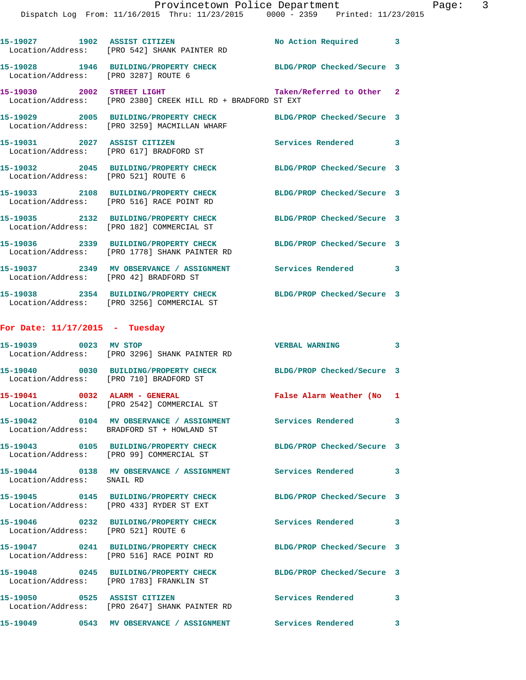|                                      | 15-19027 1902 ASSIST CITIZEN<br>Location/Address: [PRO 542] SHANK PAINTER RD                         | No Action Required 3       |              |
|--------------------------------------|------------------------------------------------------------------------------------------------------|----------------------------|--------------|
| Location/Address: [PRO 3287] ROUTE 6 | 15-19028 1946 BUILDING/PROPERTY CHECK BLDG/PROP Checked/Secure 3                                     |                            |              |
| 15-19030 2002 STREET LIGHT           | Location/Address: [PRO 2380] CREEK HILL RD + BRADFORD ST EXT                                         | Taken/Referred to Other 2  |              |
|                                      | 15-19029 2005 BUILDING/PROPERTY CHECK<br>Location/Address: [PRO 3259] MACMILLAN WHARF                | BLDG/PROP Checked/Secure 3 |              |
| 15-19031 2027 ASSIST CITIZEN         | Location/Address: [PRO 617] BRADFORD ST                                                              | Services Rendered 3        |              |
| Location/Address: [PRO 521] ROUTE 6  | 15-19032 2045 BUILDING/PROPERTY CHECK                                                                | BLDG/PROP Checked/Secure 3 |              |
|                                      | 15-19033 2108 BUILDING/PROPERTY CHECK<br>Location/Address: [PRO 516] RACE POINT RD                   | BLDG/PROP Checked/Secure 3 |              |
|                                      | 15-19035 2132 BUILDING/PROPERTY CHECK<br>Location/Address: [PRO 182] COMMERCIAL ST                   | BLDG/PROP Checked/Secure 3 |              |
|                                      | 15-19036 2339 BUILDING/PROPERTY CHECK<br>Location/Address: [PRO 1778] SHANK PAINTER RD               | BLDG/PROP Checked/Secure 3 |              |
|                                      | 15-19037 2349 MV OBSERVANCE / ASSIGNMENT Services Rendered<br>Location/Address: [PRO 42] BRADFORD ST |                            | 3            |
|                                      | 15-19038 2354 BUILDING/PROPERTY CHECK<br>Location/Address: [PRO 3256] COMMERCIAL ST                  | BLDG/PROP Checked/Secure 3 |              |
| For Date: $11/17/2015$ - Tuesday     |                                                                                                      |                            |              |
| 15-19039 0023 MV STOP                | Location/Address: [PRO 3296] SHANK PAINTER RD                                                        | <b>VERBAL WARNING</b>      | 3            |
|                                      | 15-19040 0030 BUILDING/PROPERTY CHECK<br>Location/Address: [PRO 710] BRADFORD ST                     | BLDG/PROP Checked/Secure 3 |              |
| 15-19041 0032 ALARM - GENERAL        | Location/Address: [PRO 2542] COMMERCIAL ST                                                           | False Alarm Weather (No 1  |              |
|                                      | Location/Address: BRADFORD ST + HOWLAND ST                                                           | <b>Services Rendered</b>   | 3            |
|                                      | 15-19043 0105 BUILDING/PROPERTY CHECK<br>Location/Address: [PRO 99] COMMERCIAL ST                    | BLDG/PROP Checked/Secure 3 |              |
| Location/Address: SNAIL RD           | 15-19044 0138 MV OBSERVANCE / ASSIGNMENT Services Rendered                                           |                            | 3            |
|                                      | 15-19045 0145 BUILDING/PROPERTY CHECK<br>Location/Address: [PRO 433] RYDER ST EXT                    | BLDG/PROP Checked/Secure 3 |              |
| Location/Address: [PRO 521] ROUTE 6  | 15-19046 0232 BUILDING/PROPERTY CHECK                                                                | <b>Services Rendered</b>   | 3            |
|                                      | 15-19047 0241 BUILDING/PROPERTY CHECK<br>Location/Address: [PRO 516] RACE POINT RD                   | BLDG/PROP Checked/Secure 3 |              |
|                                      | 15-19048 0245 BUILDING/PROPERTY CHECK<br>Location/Address: [PRO 1783] FRANKLIN ST                    | BLDG/PROP Checked/Secure 3 |              |
| 15-19050 0525 ASSIST CITIZEN         | Location/Address: [PRO 2647] SHANK PAINTER RD                                                        | Services Rendered          | 3            |
|                                      | 15-19049      0543   MV OBSERVANCE / ASSIGNMENT      Services Rendered                               |                            | $\mathbf{3}$ |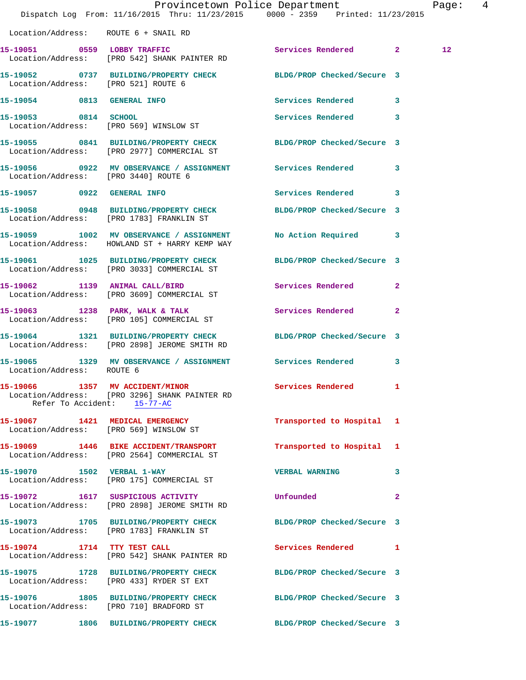|                                      | Dispatch Log From: 11/16/2015 Thru: 11/23/2015 0000 - 2359 Printed: 11/23/2015                                   | Provincetown Police Department |              | Page: 4         |  |
|--------------------------------------|------------------------------------------------------------------------------------------------------------------|--------------------------------|--------------|-----------------|--|
| Location/Address: ROUTE 6 + SNAIL RD |                                                                                                                  |                                |              |                 |  |
|                                      | 15-19051 0559 LOBBY TRAFFIC<br>Location/Address: [PRO 542] SHANK PAINTER RD                                      | Services Rendered 2            |              | 12 <sup>°</sup> |  |
| Location/Address: [PRO 521] ROUTE 6  | 15-19052 0737 BUILDING/PROPERTY CHECK BLDG/PROP Checked/Secure 3                                                 |                                |              |                 |  |
|                                      | 15-19054 0813 GENERAL INFO                                                                                       | Services Rendered 3            |              |                 |  |
|                                      | 15-19053 0814 SCHOOL<br>Location/Address: [PRO 569] WINSLOW ST                                                   | Services Rendered 3            |              |                 |  |
|                                      | 15-19055 0841 BUILDING/PROPERTY CHECK BLDG/PROP Checked/Secure 3<br>Location/Address: [PRO 2977] COMMERCIAL ST   |                                |              |                 |  |
| Location/Address: [PRO 3440] ROUTE 6 | 15-19056 0922 MV OBSERVANCE / ASSIGNMENT Services Rendered 3                                                     |                                |              |                 |  |
| 15-19057 0922 GENERAL INFO           |                                                                                                                  | Services Rendered 3            |              |                 |  |
|                                      | 15-19058 0948 BUILDING/PROPERTY CHECK BLDG/PROP Checked/Secure 3<br>Location/Address: [PRO 1783] FRANKLIN ST     |                                |              |                 |  |
|                                      | 15-19059 1002 MV OBSERVANCE / ASSIGNMENT<br>Location/Address: HOWLAND ST + HARRY KEMP WAY                        | No Action Required 3           |              |                 |  |
|                                      | 15-19061 1025 BUILDING/PROPERTY CHECK BLDG/PROP Checked/Secure 3<br>Location/Address: [PRO 3033] COMMERCIAL ST   |                                |              |                 |  |
|                                      | 15-19062 1139 ANIMAL CALL/BIRD<br>Location/Address: [PRO 3609] COMMERCIAL ST                                     | Services Rendered 2            |              |                 |  |
|                                      | 15-19063 1238 PARK, WALK & TALK<br>Location/Address: [PRO 105] COMMERCIAL ST                                     | Services Rendered 2            |              |                 |  |
|                                      | 15-19064 1321 BUILDING/PROPERTY CHECK BLDG/PROP Checked/Secure 3<br>Location/Address: [PRO 2898] JEROME SMITH RD |                                |              |                 |  |
| Location/Address: ROUTE 6            | 15-19065 1329 MV OBSERVANCE / ASSIGNMENT Services Rendered 3                                                     |                                |              |                 |  |
| Refer To Accident: 15-77-AC          | 15-19066 1357 MV ACCIDENT/MINOR<br>Location/Address: [PRO 3296] SHANK PAINTER RD                                 | Services Rendered 1            |              |                 |  |
|                                      | 15-19067 1421 MEDICAL EMERGENCY<br>Location/Address: [PRO 569] WINSLOW ST                                        | Transported to Hospital 1      |              |                 |  |
|                                      | 15-19069 1446 BIKE ACCIDENT/TRANSPORT<br>Location/Address: [PRO 2564] COMMERCIAL ST                              | Transported to Hospital 1      |              |                 |  |
|                                      | 15-19070 1502 VERBAL 1-WAY<br>Location/Address: [PRO 175] COMMERCIAL ST                                          | <b>VERBAL WARNING</b>          | 3            |                 |  |
|                                      | 15-19072 1617 SUSPICIOUS ACTIVITY<br>Location/Address: [PRO 2898] JEROME SMITH RD                                | Unfounded                      | $\mathbf{2}$ |                 |  |
|                                      | 15-19073 1705 BUILDING/PROPERTY CHECK BLDG/PROP Checked/Secure 3<br>Location/Address: [PRO 1783] FRANKLIN ST     |                                |              |                 |  |
| 15-19074 1714 TTY TEST CALL          | Location/Address: [PRO 542] SHANK PAINTER RD                                                                     | Services Rendered 1            |              |                 |  |
|                                      | 15-19075 1728 BUILDING/PROPERTY CHECK<br>Location/Address: [PRO 433] RYDER ST EXT                                | BLDG/PROP Checked/Secure 3     |              |                 |  |
|                                      | 15-19076 1805 BUILDING/PROPERTY CHECK BLDG/PROP Checked/Secure 3<br>Location/Address: [PRO 710] BRADFORD ST      |                                |              |                 |  |
|                                      |                                                                                                                  | BLDG/PROP Checked/Secure 3     |              |                 |  |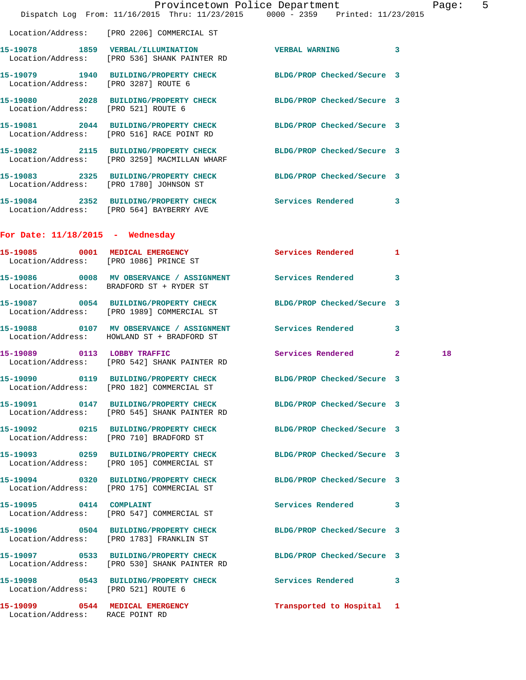|                                      | Dispatch Log From: 11/16/2015 Thru: 11/23/2015 0000 - 2359 Printed: 11/23/2015                                   | Provincetown Police Department | Page: 5 |  |
|--------------------------------------|------------------------------------------------------------------------------------------------------------------|--------------------------------|---------|--|
|                                      | Location/Address: [PRO 2206] COMMERCIAL ST                                                                       |                                |         |  |
|                                      | 15-19078 1859 VERBAL/ILLUMINATION<br>Location/Address: [PRO 536] SHANK PAINTER RD                                | VERBAL WARNING 3               |         |  |
| Location/Address: [PRO 3287] ROUTE 6 | 1997 1940 BUILDING/PROPERTY CHECK BLDG/PROP Checked/Secure 3                                                     |                                |         |  |
| Location/Address: [PRO 521] ROUTE 6  | 15-19080 2028 BUILDING/PROPERTY CHECK BLDG/PROP Checked/Secure 3                                                 |                                |         |  |
|                                      | 15-19081 2044 BUILDING/PROPERTY CHECK BLDG/PROP Checked/Secure 3<br>Location/Address: [PRO 516] RACE POINT RD    |                                |         |  |
|                                      | 15-19082 2115 BUILDING/PROPERTY CHECK BLDG/PROP Checked/Secure 3<br>Location/Address: [PRO 3259] MACMILLAN WHARF |                                |         |  |
|                                      | 15-19083 2325 BUILDING/PROPERTY CHECK BLDG/PROP Checked/Secure 3<br>Location/Address: [PRO 1780] JOHNSON ST      |                                |         |  |
|                                      | 15-19084 2352 BUILDING/PROPERTY CHECK Services Rendered 3<br>Location/Address: [PRO 564] BAYBERRY AVE            |                                |         |  |
| For Date: $11/18/2015$ - Wednesday   |                                                                                                                  |                                |         |  |
|                                      | 15-19085 0001 MEDICAL EMERGENCY Services Rendered 1<br>Location/Address: [PRO 1086] PRINCE ST                    |                                |         |  |
|                                      | 15-19086 0008 MV OBSERVANCE / ASSIGNMENT Services Rendered 3<br>Location/Address: BRADFORD ST + RYDER ST         |                                |         |  |
|                                      | 15-19087 0054 BUILDING/PROPERTY CHECK<br>Location/Address: [PRO 1989] COMMERCIAL ST                              | BLDG/PROP Checked/Secure 3     |         |  |
|                                      | 15-19088 0107 MV OBSERVANCE / ASSIGNMENT Services Rendered 3<br>Location/Address: HOWLAND ST + BRADFORD ST       |                                |         |  |
| 15-19089 0113 LOBBY TRAFFIC          | Location/Address: [PRO 542] SHANK PAINTER RD                                                                     | Services Rendered 2            | 18      |  |
|                                      | 15-19090 0119 BUILDING/PROPERTY CHECK BLDG/PROP Checked/Secure 3<br>Location/Address: [PRO 182] COMMERCIAL ST    |                                |         |  |
|                                      | 15-19091 0147 BUILDING/PROPERTY CHECK BLDG/PROP Checked/Secure 3<br>Location/Address: [PRO 545] SHANK PAINTER RD |                                |         |  |
|                                      | 15-19092 0215 BUILDING/PROPERTY CHECK BLDG/PROP Checked/Secure 3<br>Location/Address: [PRO 710] BRADFORD ST      |                                |         |  |
|                                      | 15-19093 0259 BUILDING/PROPERTY CHECK BLDG/PROP Checked/Secure 3<br>Location/Address: [PRO 105] COMMERCIAL ST    |                                |         |  |
|                                      | 15-19094 0320 BUILDING/PROPERTY CHECK BLDG/PROP Checked/Secure 3<br>Location/Address: [PRO 175] COMMERCIAL ST    |                                |         |  |
| 15-19095 0414 COMPLAINT              | Location/Address: [PRO 547] COMMERCIAL ST                                                                        | Services Rendered 3            |         |  |
|                                      | 15-19096 0504 BUILDING/PROPERTY CHECK BLDG/PROP Checked/Secure 3<br>Location/Address: [PRO 1783] FRANKLIN ST     |                                |         |  |
|                                      | 15-19097 0533 BUILDING/PROPERTY CHECK BLDG/PROP Checked/Secure 3<br>Location/Address: [PRO 530] SHANK PAINTER RD |                                |         |  |
| Location/Address: [PRO 521] ROUTE 6  | 15-19098 0543 BUILDING/PROPERTY CHECK Services Rendered 3                                                        |                                |         |  |
| Location/Address: RACE POINT RD      | 15-19099 0544 MEDICAL EMERGENCY                                                                                  | Transported to Hospital 1      |         |  |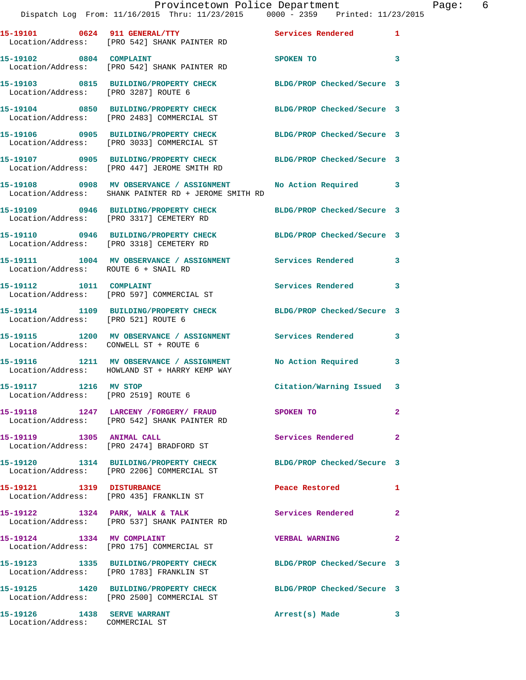|                                                               | Provincetown Police Department<br>Dispatch Log From: 11/16/2015 Thru: 11/23/2015 0000 - 2359 Printed: 11/23/2015 |                            |                |
|---------------------------------------------------------------|------------------------------------------------------------------------------------------------------------------|----------------------------|----------------|
|                                                               | 15-19101 0624 911 GENERAL/TTY Services Rendered<br>Location/Address: [PRO 542] SHANK PAINTER RD                  |                            | 1              |
| 15-19102 0804 COMPLAINT                                       | Location/Address: [PRO 542] SHANK PAINTER RD                                                                     | SPOKEN TO                  | 3              |
|                                                               | 15-19103 0815 BUILDING/PROPERTY CHECK BLDG/PROP Checked/Secure 3<br>Location/Address: [PRO 3287] ROUTE 6         |                            |                |
|                                                               | 15-19104 0850 BUILDING/PROPERTY CHECK BLDG/PROP Checked/Secure 3<br>Location/Address: [PRO 2483] COMMERCIAL ST   |                            |                |
|                                                               | 15-19106 0905 BUILDING/PROPERTY CHECK<br>Location/Address: [PRO 3033] COMMERCIAL ST                              | BLDG/PROP Checked/Secure 3 |                |
|                                                               | 15-19107 0905 BUILDING/PROPERTY CHECK BLDG/PROP Checked/Secure 3<br>Location/Address: [PRO 447] JEROME SMITH RD  |                            |                |
|                                                               |                                                                                                                  |                            | $\mathbf{3}$   |
|                                                               | 15-19109 0946 BUILDING/PROPERTY CHECK BLDG/PROP Checked/Secure 3<br>Location/Address: [PRO 3317] CEMETERY RD     |                            |                |
|                                                               | 15-19110 0946 BUILDING/PROPERTY CHECK<br>Location/Address: [PRO 3318] CEMETERY RD                                | BLDG/PROP Checked/Secure 3 |                |
| Location/Address: ROUTE 6 + SNAIL RD                          | 15-19111 1004 MV OBSERVANCE / ASSIGNMENT Services Rendered                                                       |                            | 3              |
| 15-19112 1011 COMPLAINT                                       | Location/Address: [PRO 597] COMMERCIAL ST                                                                        | <b>Services Rendered</b>   | $\mathbf{3}$   |
| Location/Address: [PRO 521] ROUTE 6                           | 15-19114 1109 BUILDING/PROPERTY CHECK BLDG/PROP Checked/Secure 3                                                 |                            |                |
| Location/Address: CONWELL ST + ROUTE 6                        | 15-19115 1200 MV OBSERVANCE / ASSIGNMENT Services Rendered                                                       |                            | $\mathbf{3}$   |
|                                                               | 15-19116 1211 MV OBSERVANCE / ASSIGNMENT<br>Location/Address: HOWLAND ST + HARRY KEMP WAY                        | No Action Required         | 3              |
| 15-19117 1216 MV STOP<br>Location/Address: [PRO 2519] ROUTE 6 |                                                                                                                  | Citation/Warning Issued 3  |                |
|                                                               | 15-19118 1247 LARCENY /FORGERY / FRAUD SPOKEN TO<br>Location/Address: [PRO 542] SHANK PAINTER RD                 |                            | $\overline{a}$ |
| 15-19119 1305 ANIMAL CALL                                     | Location/Address: [PRO 2474] BRADFORD ST                                                                         | Services Rendered          | $\overline{2}$ |
|                                                               | 15-19120 1314 BUILDING/PROPERTY CHECK<br>Location/Address: [PRO 2206] COMMERCIAL ST                              | BLDG/PROP Checked/Secure 3 |                |
| 15-19121 1319 DISTURBANCE                                     | Location/Address: [PRO 435] FRANKLIN ST                                                                          | Peace Restored             | 1              |
|                                                               | 15-19122 1324 PARK, WALK & TALK<br>Location/Address: [PRO 537] SHANK PAINTER RD                                  | Services Rendered          | $\overline{2}$ |
| 15-19124 1334 MV COMPLAINT                                    | Location/Address: [PRO 175] COMMERCIAL ST                                                                        | <b>VERBAL WARNING</b>      | $\overline{2}$ |
|                                                               | 15-19123 1335 BUILDING/PROPERTY CHECK BLDG/PROP Checked/Secure 3<br>Location/Address: [PRO 1783] FRANKLIN ST     |                            |                |
|                                                               | 15-19125 1420 BUILDING/PROPERTY CHECK BLDG/PROP Checked/Secure 3<br>Location/Address: [PRO 2500] COMMERCIAL ST   |                            |                |
|                                                               |                                                                                                                  | Arrest(s) Made             | 3              |

Location/Address: COMMERCIAL ST

Page: 6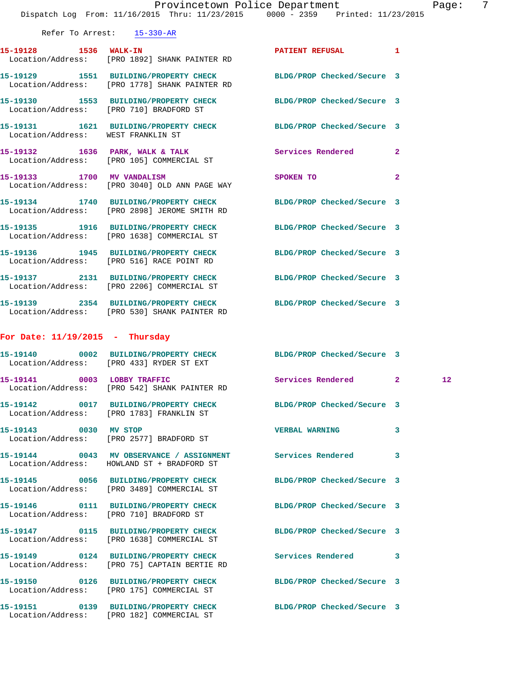|                                   | Dispatch Log From: 11/16/2015 Thru: 11/23/2015 0000 - 2359 Printed: 11/23/2015                                    | Provincetown Police Department |                | Page: | 7 |
|-----------------------------------|-------------------------------------------------------------------------------------------------------------------|--------------------------------|----------------|-------|---|
|                                   | Refer To Arrest: 15-330-AR                                                                                        |                                |                |       |   |
| 15-19128 1536 WALK-IN             | Location/Address: [PRO 1892] SHANK PAINTER RD                                                                     | PATIENT REFUSAL 1              |                |       |   |
|                                   | 15-19129 1551 BUILDING/PROPERTY CHECK BLDG/PROP Checked/Secure 3<br>Location/Address: [PRO 1778] SHANK PAINTER RD |                                |                |       |   |
|                                   | 15-19130 1553 BUILDING/PROPERTY CHECK BLDG/PROP Checked/Secure 3<br>Location/Address: [PRO 710] BRADFORD ST       |                                |                |       |   |
|                                   | 15-19131   1621   BUILDING/PROPERTY CHECK   BLDG/PROP Checked/Secure   3<br>Location/Address: WEST FRANKLIN ST    |                                |                |       |   |
|                                   | 15-19132 1636 PARK, WALK & TALK<br>Location/Address: [PRO 105] COMMERCIAL ST                                      | Services Rendered              | $\mathbf{2}$   |       |   |
|                                   | 15-19133 1700 MV VANDALISM<br>Location/Address: [PRO 3040] OLD ANN PAGE WAY                                       | SPOKEN TO                      | $\overline{2}$ |       |   |
|                                   | 15-19134 1740 BUILDING/PROPERTY CHECK BLDG/PROP Checked/Secure 3<br>Location/Address: [PRO 2898] JEROME SMITH RD  |                                |                |       |   |
|                                   | 15-19135 1916 BUILDING/PROPERTY CHECK BLDG/PROP Checked/Secure 3<br>Location/Address: [PRO 1638] COMMERCIAL ST    |                                |                |       |   |
|                                   | 15-19136 1945 BUILDING/PROPERTY CHECK BLDG/PROP Checked/Secure 3<br>Location/Address: [PRO 516] RACE POINT RD     |                                |                |       |   |
|                                   | 15-19137 2131 BUILDING/PROPERTY CHECK BLDG/PROP Checked/Secure 3<br>Location/Address: [PRO 2206] COMMERCIAL ST    |                                |                |       |   |
|                                   | 15-19139 2354 BUILDING/PROPERTY CHECK BLDG/PROP Checked/Secure 3<br>Location/Address: [PRO 530] SHANK PAINTER RD  |                                |                |       |   |
| For Date: $11/19/2015$ - Thursday |                                                                                                                   |                                |                |       |   |
|                                   | 15-19140 0002 BUILDING/PROPERTY CHECK BLDG/PROP Checked/Secure 3<br>Location/Address: [PRO 433] RYDER ST EXT      |                                |                |       |   |
| 15-19141 0003 LOBBY TRAFFIC       | Location/Address: [PRO 542] SHANK PAINTER RD                                                                      | Services Rendered 2            |                | 12    |   |
|                                   | 15-19142 0017 BUILDING/PROPERTY CHECK BLDG/PROP Checked/Secure 3<br>Location/Address: [PRO 1783] FRANKLIN ST      |                                |                |       |   |
| 15-19143 0030 MV STOP             | Location/Address: [PRO 2577] BRADFORD ST                                                                          | <b>VERBAL WARNING</b>          | 3              |       |   |
|                                   | 15-19144 0043 MV OBSERVANCE / ASSIGNMENT Services Rendered<br>Location/Address: HOWLAND ST + BRADFORD ST          |                                | 3              |       |   |
|                                   | 15-19145 0056 BUILDING/PROPERTY CHECK<br>Location/Address: [PRO 3489] COMMERCIAL ST                               | BLDG/PROP Checked/Secure 3     |                |       |   |
|                                   | 15-19146  0111 BUILDING/PROPERTY CHECK<br>Location/Address: [PRO 710] BRADFORD ST                                 | BLDG/PROP Checked/Secure 3     |                |       |   |
|                                   | 15-19147 0115 BUILDING/PROPERTY CHECK<br>Location/Address: [PRO 1638] COMMERCIAL ST                               | BLDG/PROP Checked/Secure 3     |                |       |   |
|                                   | 15-19149 0124 BUILDING/PROPERTY CHECK<br>Location/Address: [PRO 75] CAPTAIN BERTIE RD                             | <b>Services Rendered</b>       | 3              |       |   |
|                                   | 15-19150 0126 BUILDING/PROPERTY CHECK BLDG/PROP Checked/Secure 3<br>Location/Address: [PRO 175] COMMERCIAL ST     |                                |                |       |   |
|                                   | 15-19151 0139 BUILDING/PROPERTY CHECK BLDG/PROP Checked/Secure 3<br>Location/Address: [PRO 182] COMMERCIAL ST     |                                |                |       |   |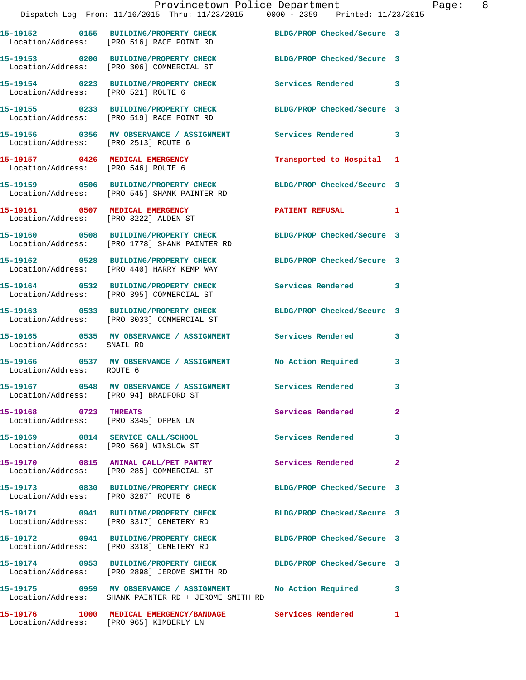|                                        | Provincetown Police Department<br>Dispatch Log From: 11/16/2015 Thru: 11/23/2015 0000 - 2359 Printed: 11/23/2015    |                            |                |
|----------------------------------------|---------------------------------------------------------------------------------------------------------------------|----------------------------|----------------|
|                                        | 15-19152   0155   BUILDING/PROPERTY CHECK   BLDG/PROP Checked/Secure 3<br>Location/Address: [PRO 516] RACE POINT RD |                            |                |
|                                        | 15-19153 0200 BUILDING/PROPERTY CHECK<br>Location/Address: [PRO 306] COMMERCIAL ST                                  | BLDG/PROP Checked/Secure 3 |                |
| Location/Address: [PRO 521] ROUTE 6    | 15-19154 0223 BUILDING/PROPERTY CHECK                                                                               | Services Rendered          | 3              |
|                                        | 15-19155 0233 BUILDING/PROPERTY CHECK BLDG/PROP Checked/Secure 3<br>Location/Address: [PRO 519] RACE POINT RD       |                            |                |
| Location/Address: [PRO 2513] ROUTE 6   | 15-19156  0356 MV OBSERVANCE / ASSIGNMENT Services Rendered                                                         |                            | 3              |
|                                        | 15-19157 0426 MEDICAL EMERGENCY<br>Location/Address: [PRO 546] ROUTE 6                                              | Transported to Hospital 1  |                |
|                                        | 15-19159 0506 BUILDING/PROPERTY CHECK BLDG/PROP Checked/Secure 3<br>Location/Address: [PRO 545] SHANK PAINTER RD    |                            |                |
|                                        | 15-19161 0507 MEDICAL EMERGENCY PATIENT REFUSAL<br>Location/Address: [PRO 3222] ALDEN ST                            |                            | 1              |
|                                        | 15-19160 0508 BUILDING/PROPERTY CHECK BLDG/PROP Checked/Secure 3<br>Location/Address: [PRO 1778] SHANK PAINTER RD   |                            |                |
|                                        | 15-19162 0528 BUILDING/PROPERTY CHECK BLDG/PROP Checked/Secure 3<br>Location/Address: [PRO 440] HARRY KEMP WAY      |                            |                |
|                                        | 15-19164 0532 BUILDING/PROPERTY CHECK<br>Location/Address: [PRO 395] COMMERCIAL ST                                  | Services Rendered          | 3              |
|                                        | 15-19163 0533 BUILDING/PROPERTY CHECK BLDG/PROP Checked/Secure 3<br>Location/Address: [PRO 3033] COMMERCIAL ST      |                            |                |
|                                        |                                                                                                                     |                            | 3              |
| Location/Address: ROUTE 6              | 15-19166 0537 MV OBSERVANCE / ASSIGNMENT No Action Required                                                         |                            | 3              |
| Location/Address: [PRO 94] BRADFORD ST | 15-19167 0548 MV OBSERVANCE / ASSIGNMENT                                                                            | Services Rendered          | 3              |
| 15-19168 0723 THREATS                  | Location/Address: [PRO 3345] OPPEN LN                                                                               | Services Rendered          | $\overline{2}$ |
| Location/Address: [PRO 569] WINSLOW ST | 15-19169 0814 SERVICE CALL/SCHOOL                                                                                   | Services Rendered          | 3              |
|                                        | 15-19170 0815 ANIMAL CALL/PET PANTRY<br>Location/Address: [PRO 285] COMMERCIAL ST                                   | Services Rendered          | $\mathbf{2}$   |
| Location/Address: [PRO 3287] ROUTE 6   | 15-19173 0830 BUILDING/PROPERTY CHECK                                                                               | BLDG/PROP Checked/Secure 3 |                |
|                                        | 15-19171 0941 BUILDING/PROPERTY CHECK BLDG/PROP Checked/Secure 3<br>Location/Address: [PRO 3317] CEMETERY RD        |                            |                |
|                                        | 15-19172 0941 BUILDING/PROPERTY CHECK<br>Location/Address: [PRO 3318] CEMETERY RD                                   | BLDG/PROP Checked/Secure 3 |                |
|                                        | 15-19174 0953 BUILDING/PROPERTY CHECK<br>Location/Address: [PRO 2898] JEROME SMITH RD                               | BLDG/PROP Checked/Secure 3 |                |
|                                        | Location/Address: SHANK PAINTER RD + JEROME SMITH RD                                                                |                            | 3              |
|                                        | 15-19176 1000 MEDICAL EMERGENCY/BANDAGE Services Rendered 1                                                         |                            |                |

Location/Address: [PRO 965] KIMBERLY LN

Page: 8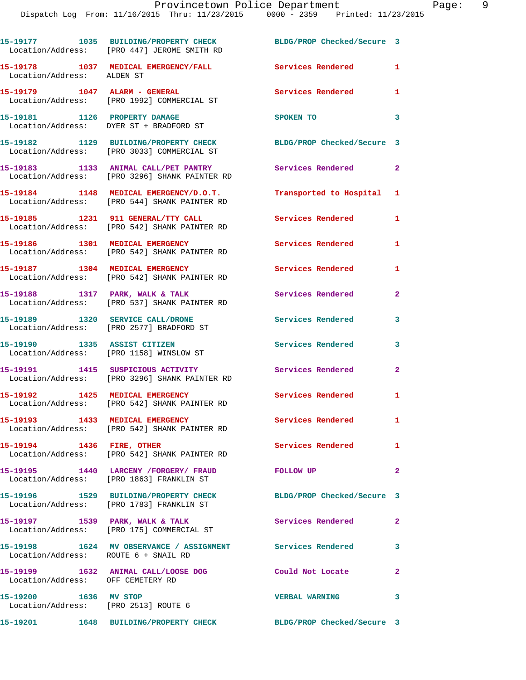|                                                               | 15-19177 1035 BUILDING/PROPERTY CHECK<br>Location/Address: [PRO 447] JEROME SMITH RD                         | BLDG/PROP Checked/Secure 3 |                         |
|---------------------------------------------------------------|--------------------------------------------------------------------------------------------------------------|----------------------------|-------------------------|
| Location/Address: ALDEN ST                                    | 15-19178 1037 MEDICAL EMERGENCY/FALL                                                                         | <b>Services Rendered</b>   | 1                       |
| 15-19179    1047    ALARM - GENERAL                           | Location/Address: [PRO 1992] COMMERCIAL ST                                                                   | Services Rendered 1        |                         |
|                                                               | 15-19181 1126 PROPERTY DAMAGE<br>Location/Address: DYER ST + BRADFORD ST                                     | SPOKEN TO                  | 3                       |
|                                                               | 15-19182 1129 BUILDING/PROPERTY CHECK<br>Location/Address: [PRO 3033] COMMERCIAL ST                          | BLDG/PROP Checked/Secure 3 |                         |
|                                                               | 15-19183 1133 ANIMAL CALL/PET PANTRY<br>Location/Address: [PRO 3296] SHANK PAINTER RD                        | <b>Services Rendered</b>   | $\mathbf{2}$            |
|                                                               | 15-19184 1148 MEDICAL EMERGENCY/D.O.T.<br>Location/Address: [PRO 544] SHANK PAINTER RD                       | Transported to Hospital 1  |                         |
|                                                               | 15-19185 1231 911 GENERAL/TTY CALL<br>Location/Address: [PRO 542] SHANK PAINTER RD                           | <b>Services Rendered</b>   | 1                       |
|                                                               | 15-19186 1301 MEDICAL EMERGENCY<br>Location/Address: [PRO 542] SHANK PAINTER RD                              | Services Rendered          | 1                       |
|                                                               | 15-19187 1304 MEDICAL EMERGENCY<br>Location/Address: [PRO 542] SHANK PAINTER RD                              | Services Rendered          | $\mathbf{1}$            |
|                                                               | 15-19188 1317 PARK, WALK & TALK<br>Location/Address: [PRO 537] SHANK PAINTER RD                              | <b>Services Rendered</b>   | $\mathbf{2}$            |
| 15-19189 1320 SERVICE CALL/DRONE                              | Location/Address: [PRO 2577] BRADFORD ST                                                                     | Services Rendered          | 3                       |
| 15-19190 1335 ASSIST CITIZEN                                  | Location/Address: [PRO 1158] WINSLOW ST                                                                      | Services Rendered          | 3                       |
|                                                               | 15-19191 1415 SUSPICIOUS ACTIVITY<br>Location/Address: [PRO 3296] SHANK PAINTER RD                           | <b>Services Rendered</b>   | $\overline{2}$          |
|                                                               | 15-19192 1425 MEDICAL EMERGENCY<br>Location/Address: [PRO 542] SHANK PAINTER RD                              | <b>Services Rendered</b>   | $\mathbf{1}$            |
|                                                               | Location/Address: [PRO 542] SHANK PAINTER RD                                                                 | Services Rendered          | $\mathbf{1}$            |
| 15-19194 1436 FIRE, OTHER                                     | Location/Address: [PRO 542] SHANK PAINTER RD                                                                 | Services Rendered 1        |                         |
|                                                               | 15-19195               1440     LARCENY /FORGERY/  FRAUD<br>Location/Address:       [PRO 1863]  FRANKLIN  ST | FOLLOW UP                  | $\overline{2}$          |
|                                                               | 15-19196 1529 BUILDING/PROPERTY CHECK BLDG/PROP Checked/Secure 3<br>Location/Address: [PRO 1783] FRANKLIN ST |                            |                         |
|                                                               | 15-19197 1539 PARK, WALK & TALK<br>Location/Address: [PRO 175] COMMERCIAL ST                                 | <b>Services Rendered</b>   | $\overline{2}$          |
| Location/Address: ROUTE 6 + SNAIL RD                          | 15-19198 1624 MV OBSERVANCE / ASSIGNMENT Services Rendered 3                                                 |                            |                         |
| Location/Address: OFF CEMETERY RD                             | 15-19199 1632 ANIMAL CALL/LOOSE DOG                                                                          | Could Not Locate           | $\mathbf{2}$            |
| 15-19200 1636 MV STOP<br>Location/Address: [PRO 2513] ROUTE 6 |                                                                                                              | <b>VERBAL WARNING</b>      | $\overline{\mathbf{3}}$ |
|                                                               | 15-19201 1648 BUILDING/PROPERTY CHECK BLDG/PROP Checked/Secure 3                                             |                            |                         |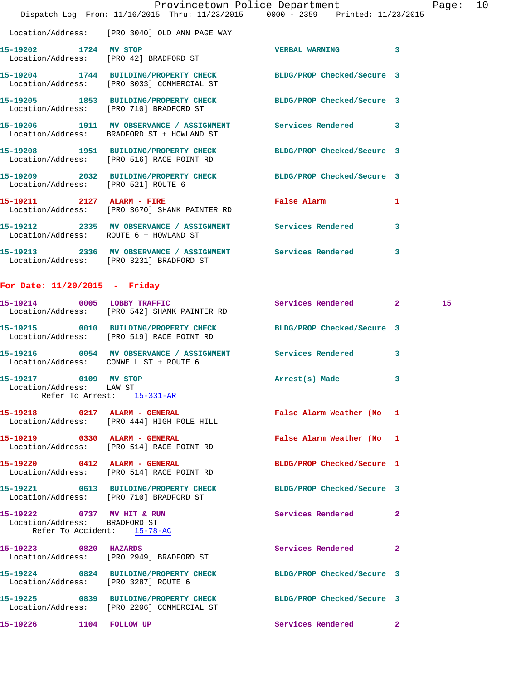|                                        | Dispatch Log From: 11/16/2015 Thru: 11/23/2015 0000 - 2359 Printed: 11/23/2015                                 | Provincetown Police Department | 10<br>Page: |
|----------------------------------------|----------------------------------------------------------------------------------------------------------------|--------------------------------|-------------|
|                                        | Location/Address: [PRO 3040] OLD ANN PAGE WAY                                                                  |                                |             |
|                                        | 15-19202 1724 MV STOP<br>Location/Address: [PRO 42] BRADFORD ST                                                | <b>VERBAL WARNING</b>          | 3           |
|                                        | 15-19204 1744 BUILDING/PROPERTY CHECK BLDG/PROP Checked/Secure 3<br>Location/Address: [PRO 3033] COMMERCIAL ST |                                |             |
|                                        | 15-19205 1853 BUILDING/PROPERTY CHECK BLDG/PROP Checked/Secure 3<br>Location/Address: [PRO 710] BRADFORD ST    |                                |             |
|                                        | 15-19206 1911 MV OBSERVANCE / ASSIGNMENT Services Rendered 3<br>Location/Address: BRADFORD ST + HOWLAND ST     |                                |             |
|                                        | 15-19208 1951 BUILDING/PROPERTY CHECK BLDG/PROP Checked/Secure 3<br>Location/Address: [PRO 516] RACE POINT RD  |                                |             |
| Location/Address: [PRO 521] ROUTE 6    | 15-19209 2032 BUILDING/PROPERTY CHECK BLDG/PROP Checked/Secure 3                                               |                                |             |
|                                        | 15-19211 2127 ALARM - FIRE <b>The False Alarm</b><br>Location/Address: [PRO 3670] SHANK PAINTER RD             |                                | 1           |
| Location/Address: ROUTE 6 + HOWLAND ST | 15-19212 2335 MV OBSERVANCE / ASSIGNMENT Services Rendered                                                     |                                | 3           |
|                                        | 15-19213 2336 MV OBSERVANCE / ASSIGNMENT Services Rendered<br>Location/Address: [PRO 3231] BRADFORD ST         |                                | 3           |

## **For Date: 11/20/2015 - Friday**

|                                                                                            | 15-19214 0005 LOBBY TRAFFIC<br>Location/Address: [PRO 542] SHANK PAINTER RD                                    | Services Rendered 2        |              | 15 |
|--------------------------------------------------------------------------------------------|----------------------------------------------------------------------------------------------------------------|----------------------------|--------------|----|
|                                                                                            | 15-19215 0010 BUILDING/PROPERTY CHECK BLDG/PROP Checked/Secure 3<br>Location/Address: [PRO 519] RACE POINT RD  |                            |              |    |
| Location/Address: CONWELL ST + ROUTE 6                                                     | 15-19216 0054 MV OBSERVANCE / ASSIGNMENT Services Rendered 3                                                   |                            |              |    |
| 15-19217 0109 MV STOP<br>Location/Address: LAW ST<br>Refer To Arrest: 15-331-AR            |                                                                                                                | Arrest(s) Made             | 3            |    |
|                                                                                            | 15-19218 0217 ALARM - GENERAL<br>Location/Address: [PRO 444] HIGH POLE HILL                                    | False Alarm Weather (No 1  |              |    |
|                                                                                            | 15-19219 0330 ALARM - GENERAL<br>Location/Address: [PRO 514] RACE POINT RD                                     | False Alarm Weather (No 1  |              |    |
|                                                                                            | 15-19220 0412 ALARM - GENERAL<br>Location/Address: [PRO 514] RACE POINT RD                                     | BLDG/PROP Checked/Secure 1 |              |    |
| Location/Address: [PRO 710] BRADFORD ST                                                    | 15-19221 0613 BUILDING/PROPERTY CHECK BLDG/PROP Checked/Secure 3                                               |                            |              |    |
| 15-19222 0737 MV HIT & RUN<br>Location/Address: BRADFORD ST<br>Refer To Accident: 15-78-AC |                                                                                                                | Services Rendered          | $\mathbf{2}$ |    |
| 15-19223 0820 HAZARDS                                                                      | Location/Address: [PRO 2949] BRADFORD ST                                                                       | <b>Services Rendered</b>   | $\mathbf{2}$ |    |
| Location/Address: [PRO 3287] ROUTE 6                                                       | 15-19224 0824 BUILDING/PROPERTY CHECK BLDG/PROP Checked/Secure 3                                               |                            |              |    |
|                                                                                            | 15-19225 0839 BUILDING/PROPERTY CHECK BLDG/PROP Checked/Secure 3<br>Location/Address: [PRO 2206] COMMERCIAL ST |                            |              |    |
| 15-19226 1104 FOLLOW UP                                                                    |                                                                                                                | Services Rendered 2        |              |    |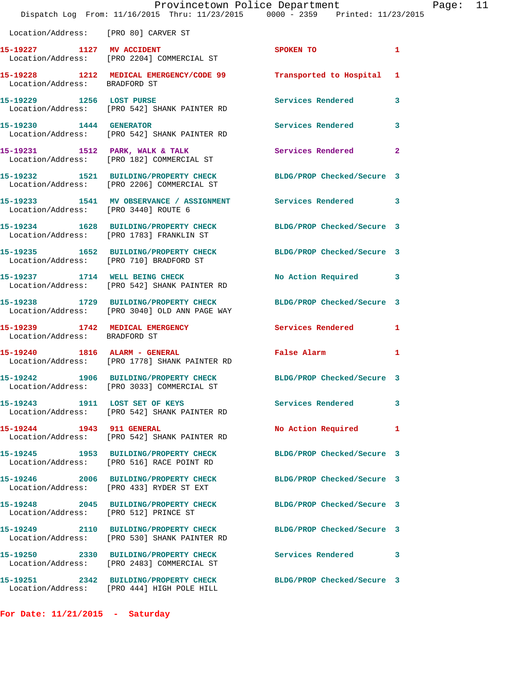|                                       | Dispatch Log From: 11/16/2015 Thru: 11/23/2015 0000 - 2359 Printed: 11/23/2015                                 | Provincetown Police Department |                | Page: | 11 |
|---------------------------------------|----------------------------------------------------------------------------------------------------------------|--------------------------------|----------------|-------|----|
| Location/Address: [PRO 80] CARVER ST  |                                                                                                                |                                |                |       |    |
|                                       |                                                                                                                | SPOKEN TO                      | $\mathbf{1}$   |       |    |
| Location/Address: BRADFORD ST         | 15-19228 1212 MEDICAL EMERGENCY/CODE 99 Transported to Hospital 1                                              |                                |                |       |    |
|                                       | 15-19229 1256 LOST PURSE<br>Location/Address: [PRO 542] SHANK PAINTER RD                                       | Services Rendered              | 3              |       |    |
| 15-19230    1444    GENERATOR         | Location/Address: [PRO 542] SHANK PAINTER RD                                                                   | Services Rendered              | 3              |       |    |
|                                       | 15-19231 1512 PARK, WALK & TALK<br>Location/Address: [PRO 182] COMMERCIAL ST                                   | <b>Services Rendered</b>       | $\overline{a}$ |       |    |
|                                       | 15-19232 1521 BUILDING/PROPERTY CHECK<br>Location/Address: [PRO 2206] COMMERCIAL ST                            | BLDG/PROP Checked/Secure 3     |                |       |    |
| Location/Address: [PRO 3440] ROUTE 6  | 15-19233 1541 MV OBSERVANCE / ASSIGNMENT Services Rendered 3                                                   |                                |                |       |    |
|                                       | 15-19234 1628 BUILDING/PROPERTY CHECK<br>Location/Address: [PRO 1783] FRANKLIN ST                              | BLDG/PROP Checked/Secure 3     |                |       |    |
|                                       | 15-19235 1652 BUILDING/PROPERTY CHECK BLDG/PROP Checked/Secure 3<br>Location/Address: [PRO 710] BRADFORD ST    |                                |                |       |    |
|                                       | 15-19237 1714 WELL BEING CHECK<br>Location/Address: [PRO 542] SHANK PAINTER RD                                 | No Action Required 3           |                |       |    |
|                                       | 15-19238 1729 BUILDING/PROPERTY CHECK<br>Location/Address: [PRO 3040] OLD ANN PAGE WAY                         | BLDG/PROP Checked/Secure 3     |                |       |    |
| Location/Address: BRADFORD ST         | 15-19239 1742 MEDICAL EMERGENCY Services Rendered 1                                                            |                                |                |       |    |
|                                       | 15-19240 1816 ALARM - GENERAL<br>Location/Address: [PRO 1778] SHANK PAINTER RD                                 | False Alarm                    | $\mathbf{1}$   |       |    |
|                                       | 15-19242 1906 BUILDING/PROPERTY CHECK BLDG/PROP Checked/Secure 3<br>Location/Address: [PRO 3033] COMMERCIAL ST |                                |                |       |    |
|                                       | 15-19243 1911 LOST SET OF KEYS<br>Location/Address: [PRO 542] SHANK PAINTER RD                                 | Services Rendered              | 3              |       |    |
| 15-19244 1943 911 GENERAL             | Location/Address: [PRO 542] SHANK PAINTER RD                                                                   | No Action Required             | 1              |       |    |
|                                       | 15-19245 1953 BUILDING/PROPERTY CHECK<br>Location/Address: [PRO 516] RACE POINT RD                             | BLDG/PROP Checked/Secure 3     |                |       |    |
|                                       | 15-19246 2006 BUILDING/PROPERTY CHECK<br>Location/Address: [PRO 433] RYDER ST EXT                              | BLDG/PROP Checked/Secure 3     |                |       |    |
| Location/Address: [PRO 512] PRINCE ST | 15-19248 2045 BUILDING/PROPERTY CHECK BLDG/PROP Checked/Secure 3                                               |                                |                |       |    |
|                                       | 15-19249 2110 BUILDING/PROPERTY CHECK<br>Location/Address: [PRO 530] SHANK PAINTER RD                          | BLDG/PROP Checked/Secure 3     |                |       |    |
|                                       | 15-19250 2330 BUILDING/PROPERTY CHECK<br>Location/Address: [PRO 2483] COMMERCIAL ST                            | Services Rendered              | 3              |       |    |
|                                       | 15-19251 2342 BUILDING/PROPERTY CHECK<br>Location/Address: [PRO 444] HIGH POLE HILL                            | BLDG/PROP Checked/Secure 3     |                |       |    |

**For Date: 11/21/2015 - Saturday**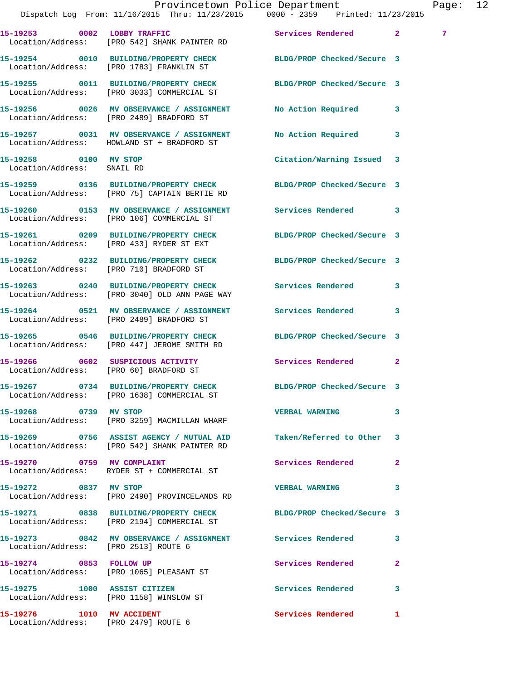|                                                     | Dispatch Log From: 11/16/2015 Thru: 11/23/2015 0000 - 2359 Printed: 11/23/2015                                     | Provincetown Police Department |              | Page: 12        |  |
|-----------------------------------------------------|--------------------------------------------------------------------------------------------------------------------|--------------------------------|--------------|-----------------|--|
|                                                     | 15-19253 0002 LOBBY TRAFFIC Services Rendered 2<br>Location/Address: [PRO 542] SHANK PAINTER RD                    |                                |              | $7\phantom{.0}$ |  |
|                                                     | 15-19254 0010 BUILDING/PROPERTY CHECK BLDG/PROP Checked/Secure 3<br>Location/Address: [PRO 1783] FRANKLIN ST       |                                |              |                 |  |
|                                                     | 15-19255 0011 BUILDING/PROPERTY CHECK BLDG/PROP Checked/Secure 3<br>Location/Address: [PRO 3033] COMMERCIAL ST     |                                |              |                 |  |
|                                                     | 15-19256 0026 MV OBSERVANCE / ASSIGNMENT No Action Required 3<br>Location/Address: [PRO 2489] BRADFORD ST          |                                |              |                 |  |
|                                                     | 15-19257 0031 MV OBSERVANCE / ASSIGNMENT<br>Location/Address: HOWLAND ST + BRADFORD ST                             | No Action Required 3           |              |                 |  |
| 15-19258 0100 MV STOP<br>Location/Address: SNAIL RD |                                                                                                                    | Citation/Warning Issued 3      |              |                 |  |
|                                                     | 15-19259 0136 BUILDING/PROPERTY CHECK BLDG/PROP Checked/Secure 3<br>Location/Address: [PRO 75] CAPTAIN BERTIE RD   |                                |              |                 |  |
|                                                     | 15-19260 0153 MV OBSERVANCE / ASSIGNMENT Services Rendered 3<br>Location/Address: [PRO 106] COMMERCIAL ST          |                                |              |                 |  |
|                                                     | 15-19261 0209 BUILDING/PROPERTY CHECK BLDG/PROP Checked/Secure 3<br>Location/Address: [PRO 433] RYDER ST EXT       |                                |              |                 |  |
|                                                     | 15-19262 0232 BUILDING/PROPERTY CHECK BLDG/PROP Checked/Secure 3<br>Location/Address: [PRO 710] BRADFORD ST        |                                |              |                 |  |
|                                                     | 15-19263 0240 BUILDING/PROPERTY CHECK Services Rendered 3<br>Location/Address: [PRO 3040] OLD ANN PAGE WAY         |                                |              |                 |  |
|                                                     | 15-19264 0521 MV OBSERVANCE / ASSIGNMENT Services Rendered 3<br>Location/Address: [PRO 2489] BRADFORD ST           |                                |              |                 |  |
|                                                     | 15-19265 0546 BUILDING/PROPERTY CHECK BLDG/PROP Checked/Secure 3<br>Location/Address: [PRO 447] JEROME SMITH RD    |                                |              |                 |  |
| Location/Address: [PRO 60] BRADFORD ST              | 15-19266 0602 SUSPICIOUS ACTIVITY 1990 Services Rendered                                                           |                                | $\mathbf{2}$ |                 |  |
|                                                     | Location/Address: [PRO 1638] COMMERCIAL ST                                                                         | BLDG/PROP Checked/Secure 3     |              |                 |  |
| 15-19268 0739 MV STOP                               | Location/Address: [PRO 3259] MACMILLAN WHARF                                                                       | VERBAL WARNING 3               |              |                 |  |
|                                                     | 15-19269 0756 ASSIST AGENCY / MUTUAL AID Taken/Referred to Other 3<br>Location/Address: [PRO 542] SHANK PAINTER RD |                                |              |                 |  |
|                                                     | 15-19270 0759 MV COMPLAINT<br>Location/Address: RYDER ST + COMMERCIAL ST                                           | Services Rendered              | $\mathbf{2}$ |                 |  |
| 15-19272 0837 MV STOP                               | Location/Address: [PRO 2490] PROVINCELANDS RD                                                                      | <b>VERBAL WARNING</b>          | 3            |                 |  |
|                                                     | 15-19271 0838 BUILDING/PROPERTY CHECK BLDG/PROP Checked/Secure 3<br>Location/Address: [PRO 2194] COMMERCIAL ST     |                                |              |                 |  |
| Location/Address: [PRO 2513] ROUTE 6                | 15-19273 0842 MV OBSERVANCE / ASSIGNMENT Services Rendered 3                                                       |                                |              |                 |  |
|                                                     | 15-19274 0853 FOLLOW UP<br>Location/Address: [PRO 1065] PLEASANT ST                                                | Services Rendered              | $\mathbf{2}$ |                 |  |
|                                                     | 15-19275 1000 ASSIST CITIZEN<br>Location/Address: [PRO 1158] WINSLOW ST                                            | Services Rendered 3            |              |                 |  |
|                                                     |                                                                                                                    | Services Rendered 1            |              |                 |  |

Location/Address: [PRO 2479] ROUTE 6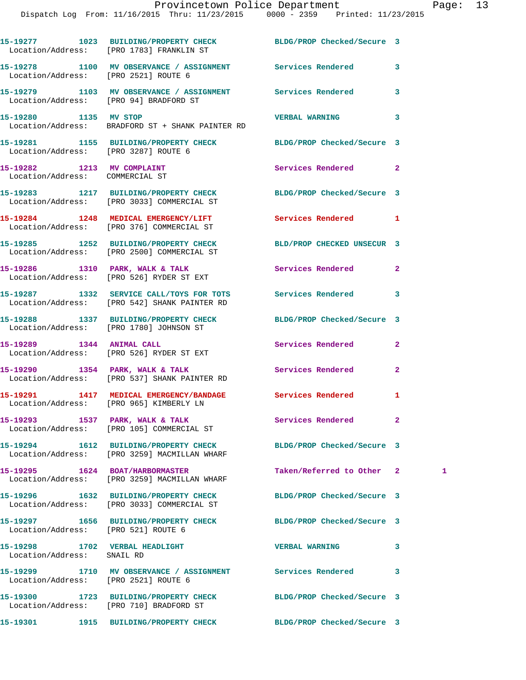|                                                               | 15-19277 1023 BUILDING/PROPERTY CHECK BLDG/PROP Checked/Secure 3<br>Location/Address: [PRO 1783] FRANKLIN ST   |                            |                |  |
|---------------------------------------------------------------|----------------------------------------------------------------------------------------------------------------|----------------------------|----------------|--|
|                                                               | 15-19278 1100 MV OBSERVANCE / ASSIGNMENT Services Rendered<br>Location/Address: [PRO 2521] ROUTE 6             |                            | 3              |  |
| Location/Address: [PRO 94] BRADFORD ST                        | 15-19279 1103 MV OBSERVANCE / ASSIGNMENT Services Rendered                                                     |                            | 3              |  |
| 15-19280 1135 MV STOP                                         | Location/Address: BRADFORD ST + SHANK PAINTER RD                                                               | <b>VERBAL WARNING</b>      | 3              |  |
| Location/Address: [PRO 3287] ROUTE 6                          | 15-19281 1155 BUILDING/PROPERTY CHECK BLDG/PROP Checked/Secure 3                                               |                            |                |  |
| 15-19282 1213 MV COMPLAINT<br>Location/Address: COMMERCIAL ST |                                                                                                                | Services Rendered          | $\mathbf{2}$   |  |
|                                                               | 15-19283 1217 BUILDING/PROPERTY CHECK BLDG/PROP Checked/Secure 3<br>Location/Address: [PRO 3033] COMMERCIAL ST |                            |                |  |
|                                                               | 15-19284 1248 MEDICAL EMERGENCY/LIFT Services Rendered<br>Location/Address: [PRO 376] COMMERCIAL ST            |                            | $\mathbf{1}$   |  |
|                                                               | 15-19285 1252 BUILDING/PROPERTY CHECK BLD/PROP CHECKED UNSECUR 3<br>Location/Address: [PRO 2500] COMMERCIAL ST |                            |                |  |
|                                                               | 15-19286 1310 PARK, WALK & TALK<br>Location/Address: [PRO 526] RYDER ST EXT                                    | Services Rendered          | $\overline{2}$ |  |
|                                                               | 15-19287 1332 SERVICE CALL/TOYS FOR TOTS Services Rendered<br>Location/Address: [PRO 542] SHANK PAINTER RD     |                            | 3              |  |
|                                                               | 15-19288 1337 BUILDING/PROPERTY CHECK BLDG/PROP Checked/Secure 3<br>Location/Address: [PRO 1780] JOHNSON ST    |                            |                |  |
|                                                               | 15-19289 1344 ANIMAL CALL<br>Location/Address: [PRO 526] RYDER ST EXT                                          | Services Rendered          | $\overline{2}$ |  |
|                                                               | 15-19290 1354 PARK, WALK & TALK 1988 Services Rendered<br>Location/Address: [PRO 537] SHANK PAINTER RD         |                            | $\overline{2}$ |  |
|                                                               | 15-19291 1417 MEDICAL EMERGENCY/BANDAGE Services Rendered<br>Location/Address: [PRO 965] KIMBERLY LN           |                            | 1              |  |
|                                                               | 15-19293 1537 PARK, WALK & TALK<br>Location/Address: [PRO 105] COMMERCIAL ST                                   | Services Rendered          | $\mathbf{2}$   |  |
|                                                               | 15-19294 1612 BUILDING/PROPERTY CHECK<br>Location/Address: [PRO 3259] MACMILLAN WHARF                          | BLDG/PROP Checked/Secure 3 |                |  |
|                                                               | 15-19295 1624 BOAT/HARBORMASTER<br>Location/Address: [PRO 3259] MACMILLAN WHARF                                | Taken/Referred to Other 2  | 1              |  |
|                                                               | 15-19296 1632 BUILDING/PROPERTY CHECK<br>Location/Address: [PRO 3033] COMMERCIAL ST                            | BLDG/PROP Checked/Secure 3 |                |  |
| Location/Address: [PRO 521] ROUTE 6                           |                                                                                                                | BLDG/PROP Checked/Secure 3 |                |  |
| 15-19298 1702 VERBAL HEADLIGHT<br>Location/Address: SNAIL RD  |                                                                                                                | <b>VERBAL WARNING</b>      | 3              |  |
| Location/Address: [PRO 2521] ROUTE 6                          | 15-19299 1710 MV OBSERVANCE / ASSIGNMENT Services Rendered                                                     |                            | 3              |  |
|                                                               | 15-19300 1723 BUILDING/PROPERTY CHECK<br>Location/Address: [PRO 710] BRADFORD ST                               | BLDG/PROP Checked/Secure 3 |                |  |
|                                                               | 15-19301 1915 BUILDING/PROPERTY CHECK BLDG/PROP Checked/Secure 3                                               |                            |                |  |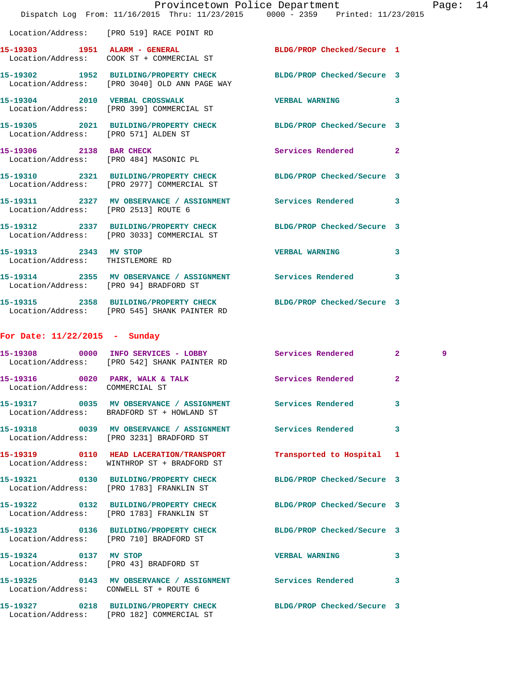|                                                           | Provincetown Police Department The Page: 14<br>Dispatch Log From: 11/16/2015 Thru: 11/23/2015 0000 - 2359 Printed: 11/23/2015 |                           |   |   |  |
|-----------------------------------------------------------|-------------------------------------------------------------------------------------------------------------------------------|---------------------------|---|---|--|
|                                                           | Location/Address: [PRO 519] RACE POINT RD                                                                                     |                           |   |   |  |
|                                                           | 15-19303 1951 ALARM - GENERAL BLDG/PROP Checked/Secure 1<br>Location/Address: COOK ST + COMMERCIAL ST                         |                           |   |   |  |
|                                                           | 15-19302 1952 BUILDING/PROPERTY CHECK BLDG/PROP Checked/Secure 3<br>Location/Address: [PRO 3040] OLD ANN PAGE WAY             |                           |   |   |  |
|                                                           | 15-19304 2010 VERBAL CROSSWALK CONFIDENTIAL VERBAL WARNING 3<br>Location/Address: [PRO 399] COMMERCIAL ST                     |                           |   |   |  |
|                                                           | 15-19305 2021 BUILDING/PROPERTY CHECK BLDG/PROP Checked/Secure 3<br>Location/Address: [PRO 571] ALDEN ST                      |                           |   |   |  |
|                                                           | 15-19306 2138 BAR CHECK<br>Location/Address: [PRO 484] MASONIC PL                                                             | Services Rendered 2       |   |   |  |
|                                                           | 15-19310 2321 BUILDING/PROPERTY CHECK BLDG/PROP Checked/Secure 3<br>Location/Address: [PRO 2977] COMMERCIAL ST                |                           |   |   |  |
|                                                           | 15-19311 2327 MV OBSERVANCE / ASSIGNMENT Services Rendered 3<br>Location/Address: [PRO 2513] ROUTE 6                          |                           |   |   |  |
|                                                           | 15-19312 2337 BUILDING/PROPERTY CHECK BLDG/PROP Checked/Secure 3<br>Location/Address: [PRO 3033] COMMERCIAL ST                |                           |   |   |  |
| 15-19313 2343 MV STOP<br>Location/Address: THISTLEMORE RD |                                                                                                                               | VERBAL WARNING 3          |   |   |  |
|                                                           | 15-19314 2355 MV OBSERVANCE / ASSIGNMENT Services Rendered 3<br>Location/Address: [PRO 94] BRADFORD ST                        |                           |   |   |  |
|                                                           | 15-19315 2358 BUILDING/PROPERTY CHECK BLDG/PROP Checked/Secure 3<br>Location/Address: [PRO 545] SHANK PAINTER RD              |                           |   |   |  |
| For Date: 11/22/2015 - Sunday                             |                                                                                                                               |                           |   |   |  |
|                                                           | 15-19308 0000 INFO SERVICES - LOBBY Services Rendered 2<br>Location/Address: [PRO 542] SHANK PAINTER RD                       |                           |   | 9 |  |
| Location/Address: COMMERCIAL ST                           |                                                                                                                               |                           |   |   |  |
|                                                           | 15-19317 0035 MV OBSERVANCE / ASSIGNMENT Services Rendered<br>Location/Address: BRADFORD ST + HOWLAND ST                      |                           | 3 |   |  |
|                                                           | 15-19318 0039 MV OBSERVANCE / ASSIGNMENT Services Rendered 3<br>Location/Address: [PRO 3231] BRADFORD ST                      |                           |   |   |  |
|                                                           | 15-19319 0110 HEAD LACERATION/TRANSPORT<br>Location/Address: WINTHROP ST + BRADFORD ST                                        | Transported to Hospital 1 |   |   |  |
|                                                           | 15-19321 0130 BUILDING/PROPERTY CHECK BLDG/PROP Checked/Secure 3<br>Location/Address: [PRO 1783] FRANKLIN ST                  |                           |   |   |  |
|                                                           | 15-19322 0132 BUILDING/PROPERTY CHECK BLDG/PROP Checked/Secure 3<br>Location/Address: [PRO 1783] FRANKLIN ST                  |                           |   |   |  |
|                                                           | 15-19323 0136 BUILDING/PROPERTY CHECK BLDG/PROP Checked/Secure 3<br>Location/Address: [PRO 710] BRADFORD ST                   |                           |   |   |  |
|                                                           | 15-19324 0137 MV STOP<br>Location/Address: [PRO 43] BRADFORD ST                                                               | VERBAL WARNING 3          |   |   |  |
| Location/Address: CONWELL ST + ROUTE 6                    | 15-19325 0143 MV OBSERVANCE / ASSIGNMENT Services Rendered 3                                                                  |                           |   |   |  |
|                                                           | 15-19327 0218 BUILDING/PROPERTY CHECK BLDG/PROP Checked/Secure 3<br>Location/Address: [PRO 182] COMMERCIAL ST                 |                           |   |   |  |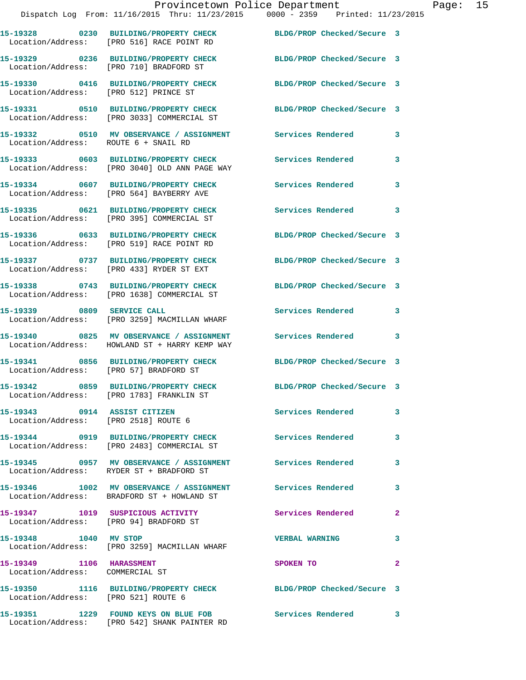|                                                             | Provincetown Police Department<br>Dispatch Log From: 11/16/2015 Thru: 11/23/2015 0000 - 2359 Printed: 11/23/2015 |                            |              |
|-------------------------------------------------------------|------------------------------------------------------------------------------------------------------------------|----------------------------|--------------|
|                                                             | 15-19328 0230 BUILDING/PROPERTY CHECK BLDG/PROP Checked/Secure 3<br>Location/Address: [PRO 516] RACE POINT RD    |                            |              |
|                                                             | 15-19329 0236 BUILDING/PROPERTY CHECK<br>Location/Address: [PRO 710] BRADFORD ST                                 | BLDG/PROP Checked/Secure 3 |              |
| Location/Address: [PRO 512] PRINCE ST                       | 15-19330 0416 BUILDING/PROPERTY CHECK BLDG/PROP Checked/Secure 3                                                 |                            |              |
|                                                             | 15-19331 0510 BUILDING/PROPERTY CHECK BLDG/PROP Checked/Secure 3<br>Location/Address: [PRO 3033] COMMERCIAL ST   |                            |              |
| Location/Address: ROUTE 6 + SNAIL RD                        | 15-19332 0510 MV OBSERVANCE / ASSIGNMENT Services Rendered                                                       |                            | 3            |
|                                                             | 15-19333 0603 BUILDING/PROPERTY CHECK Services Rendered<br>Location/Address: [PRO 3040] OLD ANN PAGE WAY         |                            | 3            |
|                                                             | 15-19334 0607 BUILDING/PROPERTY CHECK<br>Location/Address: [PRO 564] BAYBERRY AVE                                | Services Rendered          | 3            |
|                                                             | 15-19335 0621 BUILDING/PROPERTY CHECK Services Rendered<br>Location/Address: [PRO 395] COMMERCIAL ST             |                            | 3            |
|                                                             | 15-19336 0633 BUILDING/PROPERTY CHECK<br>Location/Address: [PRO 519] RACE POINT RD                               | BLDG/PROP Checked/Secure 3 |              |
|                                                             | 15-19337 0737 BUILDING/PROPERTY CHECK BLDG/PROP Checked/Secure 3<br>Location/Address: [PRO 433] RYDER ST EXT     |                            |              |
|                                                             | 15-19338 0743 BUILDING/PROPERTY CHECK<br>Location/Address: [PRO 1638] COMMERCIAL ST                              | BLDG/PROP Checked/Secure 3 |              |
| 15-19339 0809 SERVICE CALL                                  | Location/Address: [PRO 3259] MACMILLAN WHARF                                                                     | Services Rendered          | 3            |
|                                                             | Location/Address: HOWLAND ST + HARRY KEMP WAY                                                                    |                            | 3            |
| Location/Address: [PRO 57] BRADFORD ST                      | 15-19341 0856 BUILDING/PROPERTY CHECK BLDG/PROP Checked/Secure 3                                                 |                            |              |
|                                                             | 15-19342 0859 BUILDING/PROPERTY CHECK<br>Location/Address: [PRO 1783] FRANKLIN ST                                | BLDG/PROP Checked/Secure 3 |              |
| 15-19343 0914 ASSIST CITIZEN                                | Location/Address: [PRO 2518] ROUTE 6                                                                             | Services Rendered          | 3            |
|                                                             | 15-19344 0919 BUILDING/PROPERTY CHECK<br>Location/Address: [PRO 2483] COMMERCIAL ST                              | Services Rendered          | 3            |
|                                                             | 15-19345 0957 MV OBSERVANCE / ASSIGNMENT Services Rendered<br>Location/Address: RYDER ST + BRADFORD ST           |                            | 3            |
|                                                             | Location/Address: BRADFORD ST + HOWLAND ST                                                                       |                            | 3            |
|                                                             | 15-19347 1019 SUSPICIOUS ACTIVITY<br>Location/Address: [PRO 94] BRADFORD ST                                      | Services Rendered          | 2            |
| 15-19348 1040 MV STOP                                       | Location/Address: [PRO 3259] MACMILLAN WHARF                                                                     | <b>VERBAL WARNING</b>      | 3            |
| 15-19349 1106 HARASSMENT<br>Location/Address: COMMERCIAL ST |                                                                                                                  | SPOKEN TO                  | $\mathbf{2}$ |
| Location/Address: [PRO 521] ROUTE 6                         | 15-19350 1116 BUILDING/PROPERTY CHECK BLDG/PROP Checked/Secure 3                                                 |                            |              |
|                                                             |                                                                                                                  |                            | 3            |

Location/Address: [PRO 542] SHANK PAINTER RD

Page: 15<br>5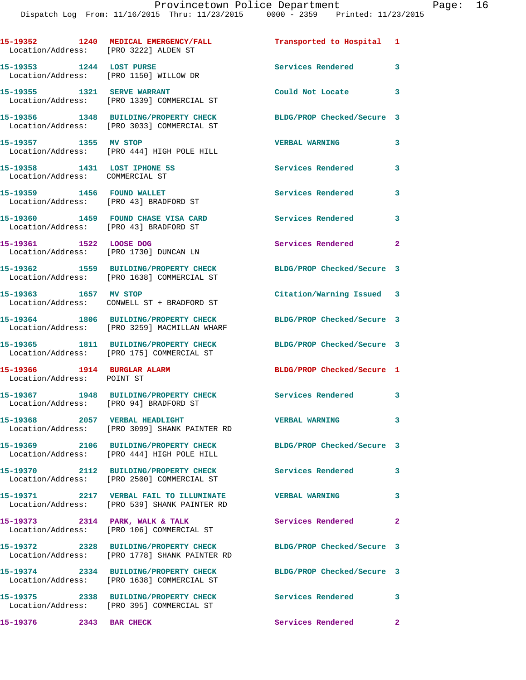| Location/Address: [PRO 3222] ALDEN ST                           | 15-19352 1240 MEDICAL EMERGENCY/FALL                                                                    | Transported to Hospital 1            |                         |
|-----------------------------------------------------------------|---------------------------------------------------------------------------------------------------------|--------------------------------------|-------------------------|
| 15-19353 1244 LOST PURSE                                        | Location/Address: [PRO 1150] WILLOW DR                                                                  | Services Rendered                    | 3                       |
|                                                                 | 15-19355 1321 SERVE WARRANT<br>Location/Address: [PRO 1339] COMMERCIAL ST                               | Could Not Locate                     | $\overline{\mathbf{3}}$ |
|                                                                 | 15-19356 1348 BUILDING/PROPERTY CHECK<br>Location/Address: [PRO 3033] COMMERCIAL ST                     | BLDG/PROP Checked/Secure 3           |                         |
| 15-19357 1355 MV STOP                                           | Location/Address: [PRO 444] HIGH POLE HILL                                                              | <b>VERBAL WARNING</b>                | 3                       |
| 15-19358 1431 LOST IPHONE 5S<br>Location/Address: COMMERCIAL ST |                                                                                                         | <b>Services Rendered</b>             | $\overline{\mathbf{3}}$ |
|                                                                 | 15-19359 1456 FOUND WALLET<br>Location/Address: [PRO 43] BRADFORD ST                                    | <b>Services Rendered</b>             | 3                       |
|                                                                 | 15-19360 1459 FOUND CHASE VISA CARD<br>Location/Address: [PRO 43] BRADFORD ST                           | <b>Services Rendered</b><br>$\sim$ 3 |                         |
| 15-19361 1522 LOOSE DOG                                         | Location/Address: [PRO 1730] DUNCAN LN                                                                  | Services Rendered                    | $\mathbf{2}$            |
|                                                                 | 15-19362 1559 BUILDING/PROPERTY CHECK<br>Location/Address: [PRO 1638] COMMERCIAL ST                     | BLDG/PROP Checked/Secure 3           |                         |
|                                                                 | 15-19363 1657 MV STOP<br>Location/Address: CONWELL ST + BRADFORD ST                                     | Citation/Warning Issued 3            |                         |
|                                                                 | 15-19364 1806 BUILDING/PROPERTY CHECK<br>Location/Address: [PRO 3259] MACMILLAN WHARF                   | BLDG/PROP Checked/Secure 3           |                         |
|                                                                 | 15-19365 1811 BUILDING/PROPERTY CHECK<br>Location/Address: [PRO 175] COMMERCIAL ST                      | BLDG/PROP Checked/Secure 3           |                         |
| 15-19366 1914 BURGLAR ALARM<br>Location/Address: POINT ST       |                                                                                                         | BLDG/PROP Checked/Secure 1           |                         |
|                                                                 | 15-19367 1948 BUILDING/PROPERTY CHECK<br>Location/Address: [PRO 94] BRADFORD ST                         | Services Rendered 3                  |                         |
| 15-19368 2057 VERBAL HEADLIGHT                                  | Location/Address: [PRO 3099] SHANK PAINTER RD                                                           | <b>VERBAL WARNING</b>                | $\overline{\mathbf{3}}$ |
|                                                                 | 15-19369 2106 BUILDING/PROPERTY CHECK<br>Location/Address: [PRO 444] HIGH POLE HILL                     | BLDG/PROP Checked/Secure 3           |                         |
|                                                                 | 15-19370 2112 BUILDING/PROPERTY CHECK Services Rendered 3<br>Location/Address: [PRO 2500] COMMERCIAL ST |                                      |                         |
|                                                                 | Location/Address: [PRO 539] SHANK PAINTER RD                                                            |                                      | 3                       |
| 15-19373 2314 PARK, WALK & TALK                                 | Location/Address: [PRO 106] COMMERCIAL ST                                                               | Services Rendered                    | $\mathbf{2}$            |
|                                                                 | 15-19372 2328 BUILDING/PROPERTY CHECK<br>Location/Address: [PRO 1778] SHANK PAINTER RD                  | BLDG/PROP Checked/Secure 3           |                         |
|                                                                 | 15-19374 2334 BUILDING/PROPERTY CHECK<br>Location/Address: [PRO 1638] COMMERCIAL ST                     | BLDG/PROP Checked/Secure 3           |                         |
|                                                                 | 15-19375 2338 BUILDING/PROPERTY CHECK<br>Location/Address: [PRO 395] COMMERCIAL ST                      | Services Rendered                    | $\mathbf{3}$            |
| 15-19376 2343 BAR CHECK                                         |                                                                                                         | Services Rendered                    | $\mathbf{2}$            |